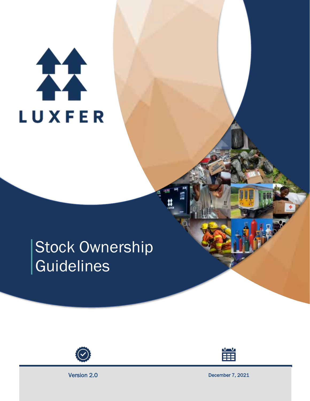# 11 **LUXFER**

# Stock Ownership Guidelines





Version 2.0 December 7, 2021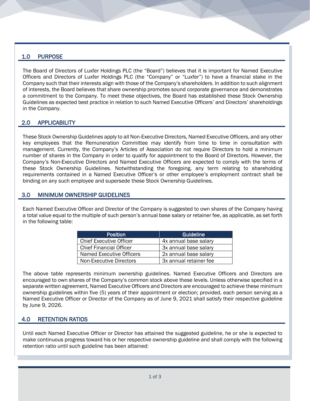## 1.0 PURPOSE

The Board of Directors of Luxfer Holdings PLC (the "Board") believes that it is important for Named Executive Officers and Directors of Luxfer Holdings PLC (the "Company" or "Luxfer") to have a financial stake in the Company such that their interests align with those of the Company's shareholders. In addition to such alignment of interests, the Board believes that share ownership promotes sound corporate governance and demonstrates a commitment to the Company. To meet these objectives, the Board has established these Stock Ownership Guidelines as expected best practice in relation to such Named Executive Officers' and Directors' shareholdings in the Company.

# 2.0 APPLICABILITY

These Stock Ownership Guidelines apply to all Non-Executive Directors, Named Executive Officers, and any other key employees that the Remuneration Committee may identify from time to time in consultation with management. Currently, the Company's Articles of Association do not require Directors to hold a minimum number of shares in the Company in order to qualify for appointment to the Board of Directors. However, the Company's Non-Executive Directors and Named Executive Officers are expected to comply with the terms of these Stock Ownership Guidelines. Notwithstanding the foregoing, any term relating to shareholding requirements contained in a Named Executive Officer's or other employee's employment contract shall be binding on any such employee and supersede these Stock Ownership Guidelines.

#### 3.0 MINIMUM OWNERSHIP GUIDELINES

Each Named Executive Officer and Director of the Company is suggested to own shares of the Company having a total value equal to the multiple of such person's annual base salary or retainer fee, as applicable, as set forth in the following table:

| <b>Position</b>                | Guideline              |
|--------------------------------|------------------------|
| <b>Chief Executive Officer</b> | 4x annual base salary  |
| <b>Chief Financial Officer</b> | 3x annual base salary  |
| Named Executive Officers       | 2x annual base salary  |
| Non-Executive Directors        | 3x annual retainer fee |

The above table represents minimum ownership guidelines. Named Executive Officers and Directors are encouraged to own shares of the Company's common stock above these levels. Unless otherwise specified in a separate written agreement, Named Executive Officers and Directors are encouraged to achieve these minimum ownership guidelines within five (5) years of their appointment or election; provided, each person serving as a Named Executive Officer or Director of the Company as of June 9, 2021 shall satisfy their respective guideline by June 9, 2026.

# 4.0 RETENTION RATIOS

Until each Named Executive Officer or Director has attained the suggested guideline, he or she is expected to make continuous progress toward his or her respective ownership guideline and shall comply with the following retention ratio until such guideline has been attained: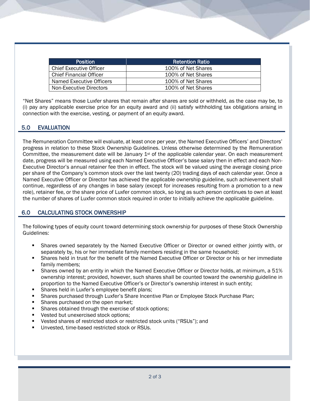| <b>Position</b>                | <b>Retention Ratio</b> |
|--------------------------------|------------------------|
| <b>Chief Executive Officer</b> | 100% of Net Shares     |
| <b>Chief Financial Officer</b> | 100% of Net Shares     |
| Named Executive Officers       | 100% of Net Shares     |
| Non-Executive Directors        | 100% of Net Shares     |

"Net Shares" means those Luxfer shares that remain after shares are sold or withheld, as the case may be, to (i) pay any applicable exercise price for an equity award and (ii) satisfy withholding tax obligations arising in connection with the exercise, vesting, or payment of an equity award.

# 5.0 EVALUATION

The Remuneration Committee will evaluate, at least once per year, the Named Executive Officers' and Directors' progress in relation to these Stock Ownership Guidelines. Unless otherwise determined by the Remuneration Committee, the measurement date will be January  $1<sup>st</sup>$  of the applicable calendar year. On each measurement date, progress will be measured using each Named Executive Officer's base salary then in effect and each Non-Executive Director's annual retainer fee then in effect. The stock will be valued using the average closing price per share of the Company's common stock over the last twenty (20) trading days of each calendar year. Once a Named Executive Officer or Director has achieved the applicable ownership guideline, such achievement shall continue, regardless of any changes in base salary (except for increases resulting from a promotion to a new role), retainer fee, or the share price of Luxfer common stock, so long as such person continues to own at least the number of shares of Luxfer common stock required in order to initially achieve the applicable guideline.

### 6.0 CALCULATING STOCK OWNERSHIP

The following types of equity count toward determining stock ownership for purposes of these Stock Ownership Guidelines:

- Shares owned separately by the Named Executive Officer or Director or owned either jointly with, or separately by, his or her immediate family members residing in the same household;
- Shares held in trust for the benefit of the Named Executive Officer or Director or his or her immediate family members;
- Shares owned by an entity in which the Named Executive Officer or Director holds, at minimum, a 51% ownership interest; provided, however, such shares shall be counted toward the ownership guideline in proportion to the Named Executive Officer's or Director's ownership interest in such entity;
- **EXECUTE:** Shares held in Luxfer's employee benefit plans;
- Shares purchased through Luxfer's Share Incentive Plan or Employee Stock Purchase Plan;
- Shares purchased on the open market;
- **EXE** Shares obtained through the exercise of stock options;
- Vested but unexercised stock options;
- Vested shares of restricted stock or restricted stock units ("RSUs"); and
- Unvested, time-based restricted stock or RSUs.